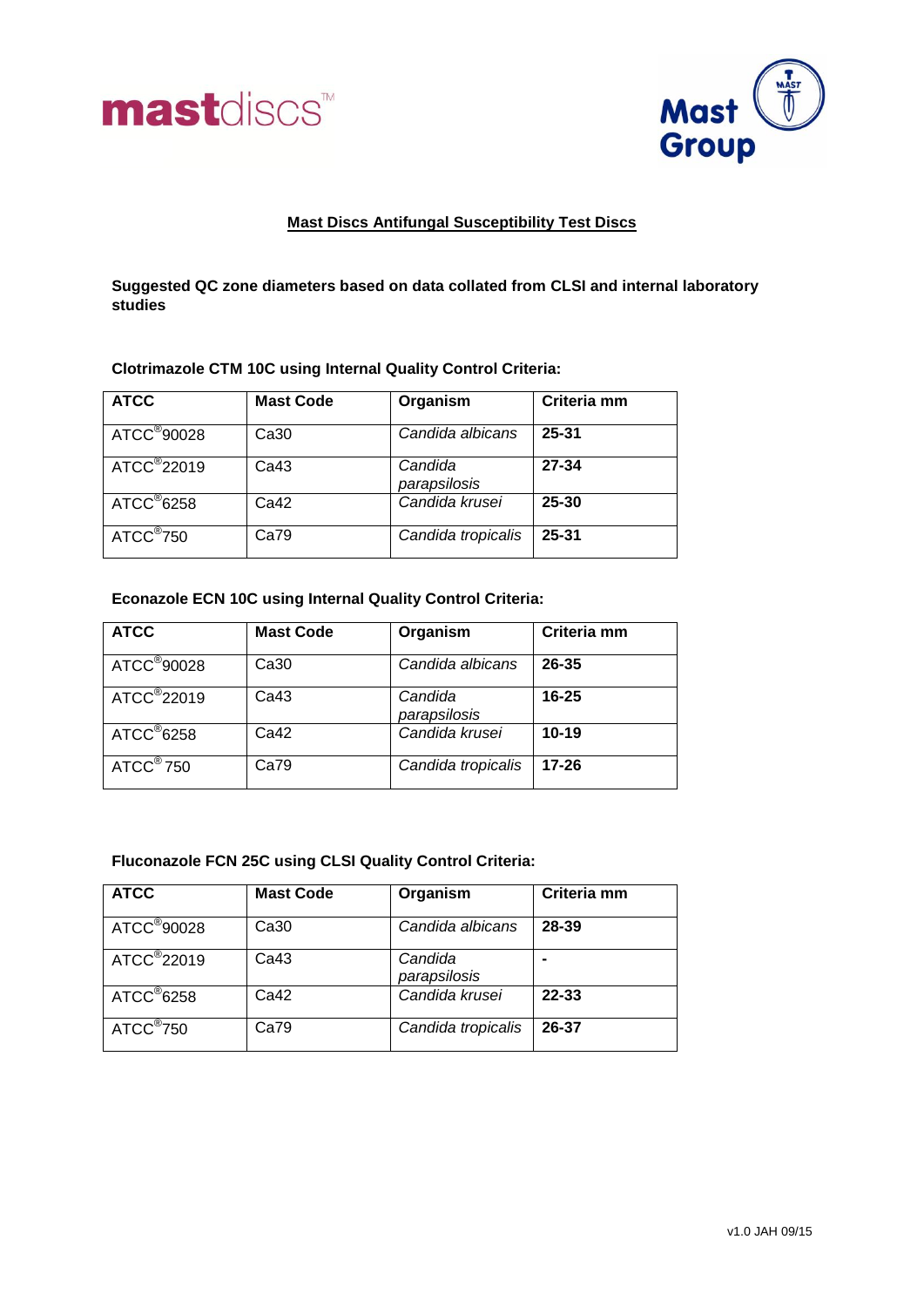



## **Mast Discs Antifungal Susceptibility Test Discs**

**Suggested QC zone diameters based on data collated from CLSI and internal laboratory studies**

## **Clotrimazole CTM 10C using Internal Quality Control Criteria:**

| <b>ATCC</b>             | <b>Mast Code</b> | Organism                | Criteria mm |
|-------------------------|------------------|-------------------------|-------------|
| ATCC <sup>®</sup> 90028 | Ca30             | Candida albicans        | 25-31       |
| ATCC <sup>®</sup> 22019 | Ca <sub>43</sub> | Candida<br>parapsilosis | $27 - 34$   |
| $ATCC^@6258$            | Ca42             | Candida krusei          | 25-30       |
| $ATCC^{\circledR}$ 750  | Ca79             | Candida tropicalis      | $25 - 31$   |

## **Econazole ECN 10C using Internal Quality Control Criteria:**

| <b>ATCC</b>              | <b>Mast Code</b> | Organism                | Criteria mm |
|--------------------------|------------------|-------------------------|-------------|
| ATCC <sup>®</sup> 90028  | Ca30             | Candida albicans        | $26 - 35$   |
| ATCC <sup>®</sup> 22019  | Ca <sub>43</sub> | Candida<br>parapsilosis | $16 - 25$   |
| $ATCC^{\circ}6258$       | Ca42             | Candida krusei          | $10 - 19$   |
| $ATCC^{\circledast}$ 750 | Ca79             | Candida tropicalis      | $17 - 26$   |

### **Fluconazole FCN 25C using CLSI Quality Control Criteria:**

| <b>ATCC</b>             | <b>Mast Code</b> | Organism                | Criteria mm |
|-------------------------|------------------|-------------------------|-------------|
| ATCC <sup>®</sup> 90028 | Ca30             | Candida albicans        | 28-39       |
| ATCC <sup>®</sup> 22019 | Ca43             | Candida<br>parapsilosis |             |
| $ATCC^{\circ}6258$      | Ca42             | Candida krusei          | 22-33       |
| ATCC <sup>®</sup> 750   | Ca79             | Candida tropicalis      | 26-37       |